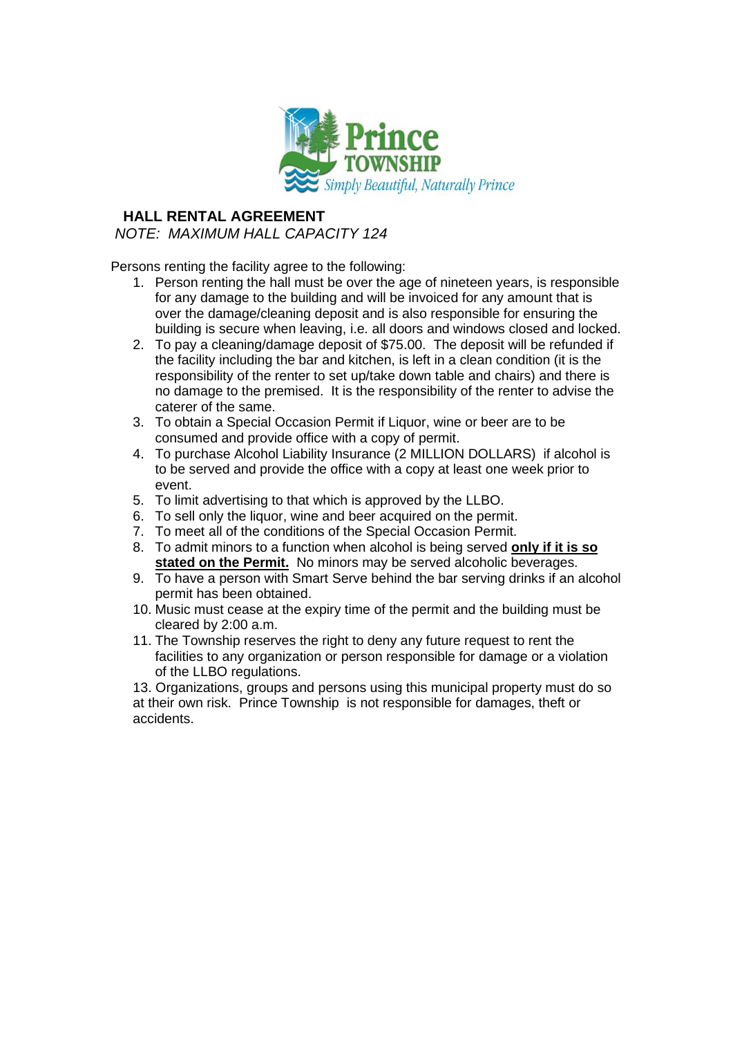

## **HALL RENTAL AGREEMENT**

## *NOTE: MAXIMUM HALL CAPACITY 124*

Persons renting the facility agree to the following:

- 1. Person renting the hall must be over the age of nineteen years, is responsible for any damage to the building and will be invoiced for any amount that is over the damage/cleaning deposit and is also responsible for ensuring the building is secure when leaving, i.e. all doors and windows closed and locked.
- 2. To pay a cleaning/damage deposit of \$75.00. The deposit will be refunded if the facility including the bar and kitchen, is left in a clean condition (it is the responsibility of the renter to set up/take down table and chairs) and there is no damage to the premised. It is the responsibility of the renter to advise the caterer of the same.
- 3. To obtain a Special Occasion Permit if Liquor, wine or beer are to be consumed and provide office with a copy of permit.
- 4. To purchase Alcohol Liability Insurance (2 MILLION DOLLARS) if alcohol is to be served and provide the office with a copy at least one week prior to event.
- 5. To limit advertising to that which is approved by the LLBO.
- 6. To sell only the liquor, wine and beer acquired on the permit.
- 7. To meet all of the conditions of the Special Occasion Permit.
- 8. To admit minors to a function when alcohol is being served **only if it is so stated on the Permit.** No minors may be served alcoholic beverages.
- 9. To have a person with Smart Serve behind the bar serving drinks if an alcohol permit has been obtained.
- 10. Music must cease at the expiry time of the permit and the building must be cleared by 2:00 a.m.
- 11. The Township reserves the right to deny any future request to rent the facilities to any organization or person responsible for damage or a violation of the LLBO regulations.

13. Organizations, groups and persons using this municipal property must do so at their own risk. Prince Township is not responsible for damages, theft or accidents.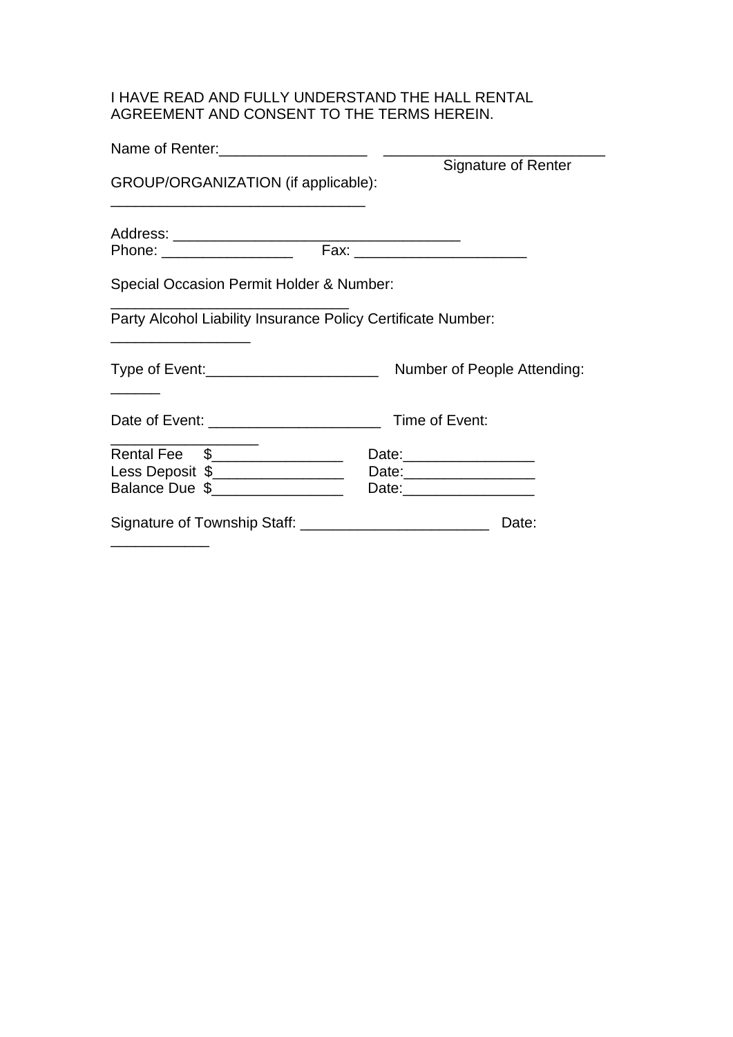## I HAVE READ AND FULLY UNDERSTAND THE HALL RENTAL AGREEMENT AND CONSENT TO THE TERMS HEREIN.

| Name of Renter:                                              |                                |
|--------------------------------------------------------------|--------------------------------|
| GROUP/ORGANIZATION (if applicable):                          | Signature of Renter            |
|                                                              |                                |
| Phone: ___________________                                   | Fax: _________________________ |
| Special Occasion Permit Holder & Number:                     |                                |
| Party Alcohol Liability Insurance Policy Certificate Number: |                                |
| Type of Event: ________________________                      | Number of People Attending:    |
|                                                              |                                |
| Rental Fee \$________________                                |                                |
| Less Deposit \$__________________                            | Date:____________________      |
| Balance Due \$__________________                             | Date:_____________________     |
| Signature of Township Staff: ___________________________     | Date:                          |